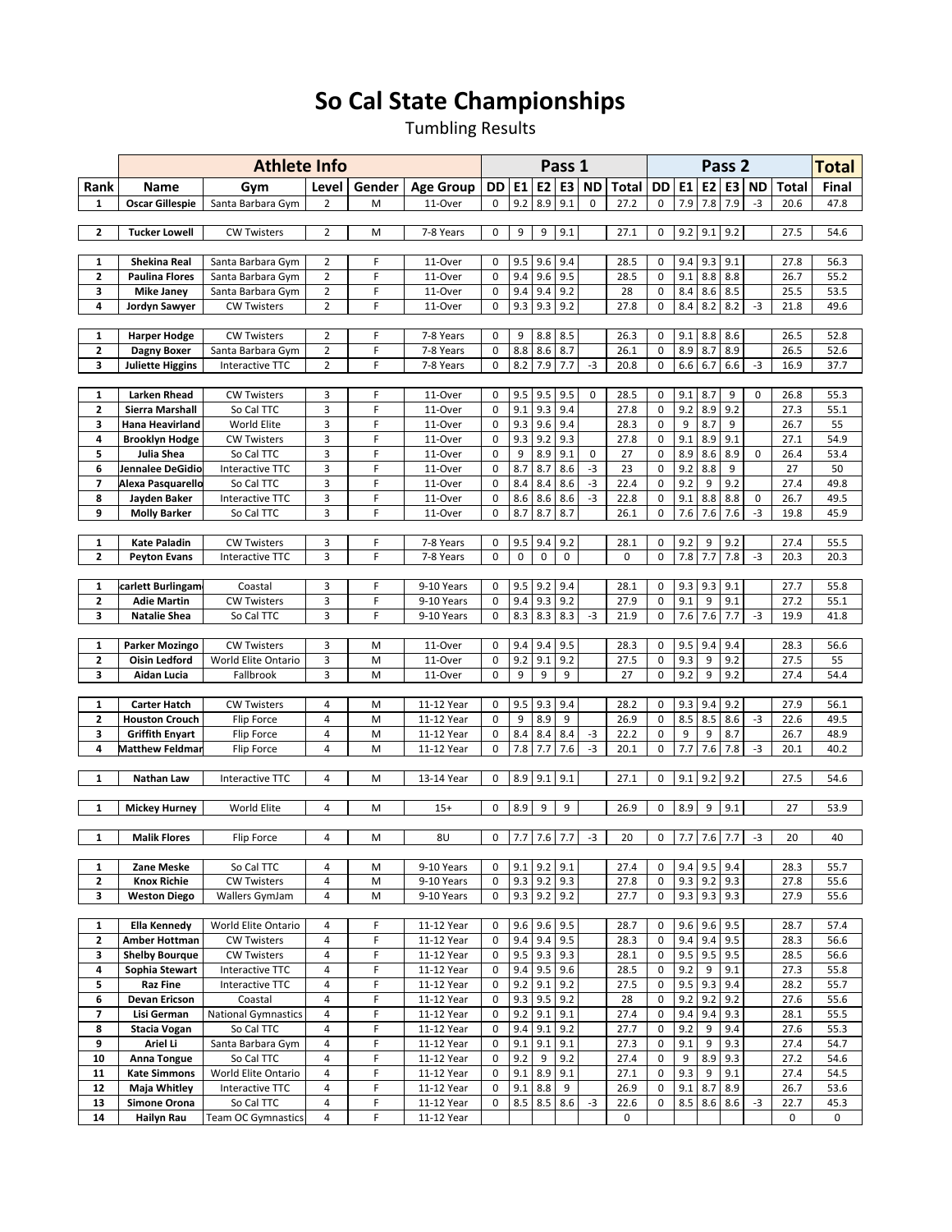## So Cal State Championships

Tumbling Results

|                              |                                         | <b>Athlete Info</b>                    |                     |        |                          |                  |                |                |                | Pass 1    |              |                |            |               | Pass <sub>2</sub> |             |              | <b>Total</b> |
|------------------------------|-----------------------------------------|----------------------------------------|---------------------|--------|--------------------------|------------------|----------------|----------------|----------------|-----------|--------------|----------------|------------|---------------|-------------------|-------------|--------------|--------------|
| Rank                         | Name                                    | Gym                                    | Level               | Gender | <b>Age Group</b>         | DD               | E <sub>1</sub> | E <sub>2</sub> | E <sub>3</sub> | <b>ND</b> | Total        | DD             | E1         | E2            | E <sub>3</sub>    | <b>ND</b>   | <b>Total</b> | Final        |
| 1                            | <b>Oscar Gillespie</b>                  | Santa Barbara Gym                      | 2                   | M      | 11-Over                  | $\mathbf 0$      | 9.2            | 8.9            | 9.1            | 0         | 27.2         | $\mathbf 0$    | 7.9        | 7.8           | 7.9               | $-3$        | 20.6         | 47.8         |
| $\mathbf{z}$                 | <b>Tucker Lowell</b>                    | <b>CW Twisters</b>                     | $\overline{2}$      | M      | 7-8 Years                | 0                | 9              | 9              | 9.1            |           | 27.1         | 0              | 9.2        | 9.1           | 9.2               |             | 27.5         | 54.6         |
|                              |                                         |                                        |                     |        |                          |                  |                |                |                |           |              |                |            |               |                   |             |              |              |
| 1                            | Shekina Real                            | Santa Barbara Gym                      | 2                   | F      | 11-Over                  | 0                | 9.5            | 9.6            | 9.4            |           | 28.5         | 0              | 9.4        | 9.3           | 9.1               |             | 27.8         | 56.3         |
| 2                            | <b>Paulina Flores</b>                   | Santa Barbara Gym                      | $\overline{2}$      | F      | 11-Over                  | 0                | 9.4            | 9.6            | 9.5            |           | 28.5         | 0              | 9.1        | 8.8           | 8.8               |             | 26.7         | 55.2         |
| 3                            | <b>Mike Janey</b>                       | Santa Barbara Gym                      | 2                   | F      | 11-Over                  | 0                | 9.4            | 9.4            | 9.2            |           | 28           | 0              | 8.4        | 8.6           | 8.5               |             | 25.5         | 53.5         |
| 4                            | Jordyn Sawyer                           | <b>CW Twisters</b>                     | 2                   | F      | 11-Over                  | 0                | 9.3            | 9.3            | 9.2            |           | 27.8         | 0              | 8.4        | 8.2           | 8.2               | $-3$        | 21.8         | 49.6         |
| $\mathbf{1}$                 | <b>Harper Hodge</b>                     | <b>CW Twisters</b>                     | $\overline{2}$      | F      | 7-8 Years                | 0                | 9              | 8.8            | 8.5            |           | 26.3         | 0              | 9.1        | 8.8           | 8.6               |             | 26.5         | 52.8         |
| $\mathbf{z}$                 | Dagny Boxer                             | Santa Barbara Gym                      | 2                   | F      | 7-8 Years                | 0                | 8.8            | 8.6            | 8.7            |           | 26.1         | 0              | 8.9        | 8.7           | 8.9               |             | 26.5         | 52.6         |
| 3                            | <b>Juliette Higgins</b>                 | Interactive TTC                        | 2                   | F      | 7-8 Years                | 0                | 8.2            | 7.9            | 7.7            | $-3$      | 20.8         | 0              | 6.6        | 6.7           | 6.6               | $-3$        | 16.9         | 37.7         |
|                              |                                         |                                        |                     |        |                          |                  |                |                |                |           |              |                |            |               |                   | $\mathbf 0$ |              |              |
| $\mathbf{1}$<br>$\mathbf{z}$ | <b>Larken Rhead</b><br>Sierra Marshall  | <b>CW Twisters</b><br>So Cal TTC       | 3<br>3              | F<br>F | 11-Over<br>11-Over       | $\mathbf 0$<br>0 | 9.5<br>9.1     | 9.5<br>9.3     | 9.5<br>9.4     | 0         | 28.5<br>27.8 | 0<br>$\pmb{0}$ | 9.1<br>9.2 | 8.7<br>8.9    | 9<br>9.2          |             | 26.8<br>27.3 | 55.3<br>55.1 |
| 3                            | Hana Heavirland                         | World Elite                            | 3                   | F      | 11-Over                  | 0                | 9.3            | 9.6            | 9.4            |           | 28.3         | 0              | 9          | 8.7           | 9                 |             | 26.7         | 55           |
| 4                            | <b>Brooklyn Hodge</b>                   | <b>CW Twisters</b>                     | 3                   | F      | 11-Over                  | 0                | 9.3            | 9.2            | 9.3            |           | 27.8         | $\pmb{0}$      | 9.1        | 8.9           | 9.1               |             | 27.1         | 54.9         |
| 5                            | Julia Shea                              | So Cal TTC                             | 3                   | F      | 11-Over                  | 0                | 9              | 8.9            | 9.1            | 0         | 27           | 0              | 8.9        | 8.6           | 8.9               | 0           | 26.4         | 53.4         |
| 6                            | Jennalee DeGidio                        | Interactive TTC                        | 3                   | F      | 11-Over                  | $\mathbf 0$      | 8.7            | 8.7            | 8.6            | $-3$      | 23           | $\mathbf 0$    | 9.2        | 8.8           | 9                 |             | 27           | 50           |
| 7                            | Alexa Pasquarello                       | So Cal TTC                             | 3                   | F      | 11-Over                  | 0                | 8.4            | 8.4            | 8.6            | -3        | 22.4         | 0              | 9.2        | 9             | 9.2               |             | 27.4         | 49.8         |
| 8                            | Jayden Baker                            | Interactive TTC                        | 3                   | F      | 11-Over                  | 0                | 8.6            | 8.6            | 8.6            | $-3$      | 22.8         | 0              | 9.1        | 8.8           | 8.8               | $\pmb{0}$   | 26.7         | 49.5         |
| 9                            | <b>Molly Barker</b>                     | So Cal TTC                             | 3                   | F      | 11-Over                  | 0                | 8.7            | 8.7            | 8.7            |           | 26.1         | $\pmb{0}$      | 7.6        | 7.6           | 7.6               | $-3$        | 19.8         | 45.9         |
| 1                            | Kate Paladin                            | <b>CW Twisters</b>                     | 3                   | F      | 7-8 Years                | 0                | 9.5            | 9.4            | 9.2            |           | 28.1         | 0              | 9.2        | 9             | 9.2               |             | 27.4         | 55.5         |
| $\mathbf{z}$                 | <b>Peyton Evans</b>                     | Interactive TTC                        | 3                   | F      | 7-8 Years                | $\mathbf 0$      | 0              | $\mathbf 0$    | $\mathbf 0$    |           | 0            | $\pmb{0}$      | 7.8        | 7.7           | 7.8               | $-3$        | 20.3         | 20.3         |
|                              |                                         |                                        |                     |        |                          |                  |                |                |                |           |              |                |            |               |                   |             |              |              |
| 1                            | carlett Burlingam                       | Coastal                                | 3                   | F      | 9-10 Years               | 0                | 9.5            | 9.2            | 9.4            |           | 28.1         | 0              | 9.3        | 9.3           | 9.1               |             | 27.7         | 55.8         |
| $\mathbf{z}$                 | <b>Adie Martin</b>                      | <b>CW Twisters</b>                     | 3                   | F      | 9-10 Years               | 0                | 9.4            | 9.3            | 9.2            |           | 27.9         | 0              | 9.1        | 9             | 9.1               |             | 27.2         | 55.1         |
| 3                            | <b>Natalie Shea</b>                     | So Cal TTC                             | 3                   | F      | 9-10 Years               | 0                | 8.3            | 8.3            | 8.3            | -3        | 21.9         | $\pmb{0}$      | 7.6        | 7.6           | 7.7               | $-3$        | 19.9         | 41.8         |
| 1                            | Parker Mozingo                          | <b>CW Twisters</b>                     | 3                   | M      | 11-Over                  | 0                | 9.4            | 9.4            | 9.5            |           | 28.3         | 0              | 9.5        | 9.4           | 9.4               |             | 28.3         | 56.6         |
| $\mathbf{z}$                 | <b>Oisin Ledford</b>                    | World Elite Ontario                    | 3                   | M      | 11-Over                  | 0                | 9.2            | 9.1            | 9.2            |           | 27.5         | 0              | 9.3        | 9             | 9.2               |             | 27.5         | 55           |
| 3                            | Aidan Lucia                             | Fallbrook                              | 3                   | M      | 11-Over                  | 0                | 9              | 9              | 9              |           | 27           | 0              | 9.2        | 9             | 9.2               |             | 27.4         | 54.4         |
| $\mathbf{1}$                 | <b>Carter Hatch</b>                     | <b>CW Twisters</b>                     | 4                   | M      | 11-12 Year               | 0                | 9.5            | 9.3            | 9.4            |           | 28.2         | 0              | 9.3        | 9.4           | 9.2               |             | 27.9         | 56.1         |
| 2                            | <b>Houston Crouch</b>                   | Flip Force                             | 4                   | M      | 11-12 Year               | $\mathbf 0$      | 9              | 8.9            | 9              |           | 26.9         | 0              | 8.5        | 8.5           | 8.6               | $-3$        | 22.6         | 49.5         |
| 3                            | <b>Griffith Enyart</b>                  | Flip Force                             | 4                   | M      | 11-12 Year               | 0                | 8.4            | 8.4            | 8.4            | $-3$      | 22.2         | 0              | 9          | 9             | 8.7               |             | 26.7         | 48.9         |
| 4                            | <b>Matthew Feldmar</b>                  | Flip Force                             | 4                   | M      | 11-12 Year               | 0                | 7.8            | 7.7            | 7.6            | -3        | 20.1         | 0              | 7.7        | 7.6           | 7.8               | $-3$        | 20.1         | 40.2         |
|                              |                                         |                                        |                     |        |                          |                  |                |                |                |           |              |                |            |               |                   |             |              |              |
| $\mathbf{1}$                 | Nathan Law                              | Interactive TTC                        | 4                   | M      | 13-14 Year               | 0                | 8.9            | 9.1            | 9.1            |           | 27.1         | 0              | 9.1        | 9.2           | 9.2               |             | 27.5         | 54.6         |
| 1                            | <b>Mickey Hurney</b>                    | World Elite                            | 4                   | M      | $15+$                    | 0                | 8.9            | 9              | 9              |           | 26.9         | 0              | 8.9        | 9             | 9.1               |             | 27           | 53.9         |
|                              |                                         |                                        |                     |        |                          |                  |                |                |                |           |              |                |            |               |                   |             |              |              |
| 1                            | <b>Malik Flores</b>                     | Flip Force                             | 4                   | M      | 8U                       | 0                |                | $7.7$ 7.6 7.7  |                | $-3$      | 20           | 0              |            | 7.7 7.6 7.7   |                   | $-3$        | 20           | 40           |
| 1                            | Zane Meske                              | So Cal TTC                             | 4                   | M      | 9-10 Years               | 0                | 9.1            | 9.2            | 9.1            |           | 27.4         | 0              | 9.4        | 9.5           | 9.4               |             | 28.3         | 55.7         |
| $\mathbf{z}$                 | <b>Knox Richie</b>                      | <b>CW Twisters</b>                     | $\overline{4}$      | M      | 9-10 Years               | 0                | 9.3            |                | $9.2$ 9.3      |           | 27.8         | 0              | 9.3        | $9.2$ 9.3     |                   |             | 27.8         | 55.6         |
| 3                            | <b>Weston Diego</b>                     | Wallers GymJam                         | 4                   | M      | 9-10 Years               | 0                |                | $9.3$ 9.2 9.2  |                |           | 27.7         | 0              |            | $9.3$ 9.3 9.3 |                   |             | 27.9         | 55.6         |
|                              |                                         |                                        |                     |        |                          |                  |                |                |                |           |              |                |            |               |                   |             |              |              |
| 1                            | <b>Ella Kennedy</b>                     | World Elite Ontario                    | 4                   | F      | 11-12 Year               | 0                | 9.6            | 9.6            | 9.5            |           | 28.7         | 0              | 9.6        | 9.6           | 9.5               |             | 28.7         | 57.4         |
| 2                            | Amber Hottman                           | <b>CW Twisters</b>                     | 4                   | F      | 11-12 Year               | 0                | 9.4            | 9.4            | 9.5            |           | 28.3         | 0              | 9.4        | 9.4           | 9.5               |             | 28.3         | 56.6         |
| 3<br>4                       | <b>Shelby Bourque</b><br>Sophia Stewart | <b>CW Twisters</b><br>Interactive TTC  | 4<br>$\sqrt{4}$     | F<br>F | 11-12 Year<br>11-12 Year | 0<br>0           | 9.5<br>9.4     | 9.3<br>9.5     | 9.3<br>9.6     |           | 28.1<br>28.5 | 0<br>$\pmb{0}$ | 9.5<br>9.2 | 9.5<br>9      | 9.5<br>9.1        |             | 28.5<br>27.3 | 56.6<br>55.8 |
| 5                            | <b>Raz Fine</b>                         | Interactive TTC                        | 4                   | F      | 11-12 Year               | 0                | 9.2            | 9.1            | 9.2            |           | 27.5         | 0              | 9.5        | 9.3           | 9.4               |             | 28.2         | 55.7         |
| 6                            | Devan Ericson                           | Coastal                                | 4                   | F      | 11-12 Year               | 0                | 9.3            | 9.5            | 9.2            |           | 28           | 0              | 9.2        | 9.2           | 9.2               |             | 27.6         | 55.6         |
| 7                            | Lisi German                             | <b>National Gymnastics</b>             | $\overline{4}$      | F      | 11-12 Year               | 0                | 9.2            | 9.1            | 9.1            |           | 27.4         | 0              | 9.4        | 9.4           | 9.3               |             | 28.1         | 55.5         |
| 8                            | Stacia Vogan                            | So Cal TTC                             | $\sqrt{4}$          | F      | 11-12 Year               | 0                | 9.4            | 9.1            | 9.2            |           | 27.7         | 0              | 9.2        | 9             | 9.4               |             | 27.6         | 55.3         |
| 9                            | Ariel Li                                | Santa Barbara Gym                      | 4                   | F      | 11-12 Year               | 0                | 9.1            | 9.1            | 9.1            |           | 27.3         | 0              | 9.1        | 9             | 9.3               |             | 27.4         | 54.7         |
| 10                           | <b>Anna Tongue</b>                      | So Cal TTC                             | $\sqrt{4}$          | F      | 11-12 Year               | 0                | 9.2            | 9              | 9.2            |           | 27.4         | 0              | 9          | 8.9           | 9.3               |             | 27.2         | 54.6         |
| 11<br>12                     | <b>Kate Simmons</b><br>Maja Whitley     | World Elite Ontario<br>Interactive TTC | $\overline{4}$<br>4 | F<br>F | 11-12 Year<br>11-12 Year | 0<br>0           | 9.1<br>9.1     | 8.9<br>8.8     | 9.1<br>9       |           | 27.1<br>26.9 | 0<br>0         | 9.3<br>9.1 | 9<br>8.7      | 9.1<br>8.9        |             | 27.4<br>26.7 | 54.5<br>53.6 |
| 13                           | Simone Orona                            | So Cal TTC                             | $\sqrt{4}$          | F      | 11-12 Year               | 0                | 8.5            |                | 8.5 8.6        | $-3$      | 22.6         | 0              | 8.5        | 8.6           | 8.6               | $-3$        | 22.7         | 45.3         |
| 14                           | <b>Hailyn Rau</b>                       | <b>Team OC Gymnastics</b>              | $\overline{4}$      | F      | 11-12 Year               |                  |                |                |                |           | 0            |                |            |               |                   |             | 0            | 0            |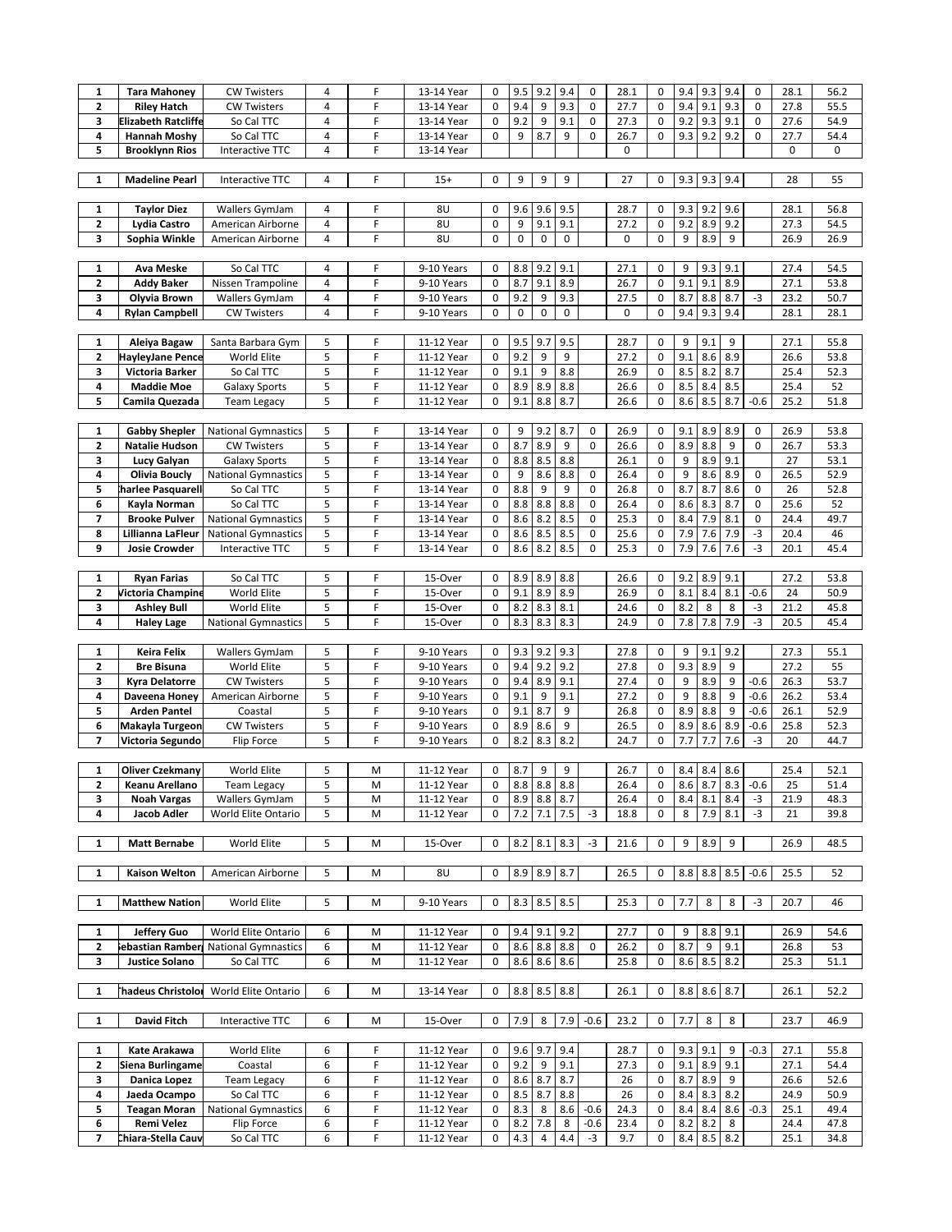| $\mathbf{1}$ | <b>Tara Mahoney</b>              | <b>CW Twisters</b>                          | 4      | F           | 13-14 Year               | 0           | 9.5        | 9.2              | 9.4         | 0              | 28.1        | 0           | 9.4        | 9.3              | 9.4 | $\mathbf 0$              | 28.1         | 56.2         |
|--------------|----------------------------------|---------------------------------------------|--------|-------------|--------------------------|-------------|------------|------------------|-------------|----------------|-------------|-------------|------------|------------------|-----|--------------------------|--------------|--------------|
|              |                                  |                                             | 4      |             |                          |             |            |                  |             |                |             | $\mathbf 0$ |            |                  |     |                          |              |              |
| $\mathbf{2}$ | <b>Riley Hatch</b>               | <b>CW Twisters</b>                          |        | F           | 13-14 Year               | $\mathbf 0$ | 9.4        | 9                | 9.3         | 0              | 27.7        |             | 9.4        | 9.1              | 9.3 | $\pmb{0}$                | 27.8         | 55.5         |
| 3            | <b>Elizabeth Ratcliffe</b>       | So Cal TTC                                  | 4      | F           | 13-14 Year               | $\mathbf 0$ | 9.2        | 9                | 9.1         | 0              | 27.3        | $\mathbf 0$ | 9.2        | 9.3              | 9.1 | 0                        | 27.6         | 54.9         |
| 4            | <b>Hannah Moshy</b>              | So Cal TTC                                  | 4      | F           | 13-14 Year               | 0           | 9          | 8.7              | 9           | 0              | 26.7        | $\mathbf 0$ | 9.3        | 9.2              | 9.2 | 0                        | 27.7         | 54.4         |
| 5            | <b>Brooklynn Rios</b>            | Interactive TTC                             | 4      | F           | 13-14 Year               |             |            |                  |             |                | 0           |             |            |                  |     |                          | 0            | 0            |
|              |                                  |                                             |        |             |                          |             |            |                  |             |                |             |             |            |                  |     |                          |              |              |
|              |                                  |                                             |        |             |                          |             |            |                  |             |                |             |             |            |                  |     |                          |              |              |
| $\mathbf{1}$ | <b>Madeline Pearl</b>            | Interactive TTC                             | 4      | F           | $15+$                    | 0           | 9          | 9                | 9           |                | 27          | 0           |            | $9.3$ 9.3        | 9.4 |                          | 28           | 55           |
|              |                                  |                                             |        |             |                          |             |            |                  |             |                |             |             |            |                  |     |                          |              |              |
| 1            | <b>Taylor Diez</b>               | Wallers GymJam                              | 4      | F           | 8U                       | 0           | 9.6        | 9.6              | 9.5         |                | 28.7        | 0           | 9.3        | 9.2              | 9.6 |                          | 28.1         | 56.8         |
| 2            | Lydia Castro                     | American Airborne                           | 4      | F           | 8U                       | $\mathbf 0$ | 9          | 9.1              | 9.1         |                | 27.2        | $\mathbf 0$ | 9.2        | 8.9              | 9.2 |                          | 27.3         | 54.5         |
| 3            |                                  |                                             | 4      | F           |                          | $\mathbf 0$ | $\pmb{0}$  | $\mathbf 0$      | $\pmb{0}$   |                |             | 0           | 9          | 8.9              | 9   |                          |              |              |
|              | Sophia Winkle                    | American Airborne                           |        |             | 8U                       |             |            |                  |             |                | 0           |             |            |                  |     |                          | 26.9         | 26.9         |
|              |                                  |                                             |        |             |                          |             |            |                  |             |                |             |             |            |                  |     |                          |              |              |
| $\mathbf{1}$ | <b>Ava Meske</b>                 | So Cal TTC                                  | 4      | F           | 9-10 Years               | 0           | 8.8        | 9.2              | 9.1         |                | 27.1        | $\mathbf 0$ | 9          | 9.3              | 9.1 |                          | 27.4         | 54.5         |
| 2            | <b>Addy Baker</b>                | Nissen Trampoline                           | 4      | F           | 9-10 Years               | $\mathbf 0$ | 8.7        | 9.1              | 8.9         |                | 26.7        | $\mathbf 0$ | 9.1        | 9.1              | 8.9 |                          | 27.1         | 53.8         |
| 3            | Olyvia Brown                     | Wallers GymJam                              | 4      | F           | 9-10 Years               | $\pmb{0}$   | 9.2        | 9                | 9.3         |                | 27.5        | $\pmb{0}$   | 8.7        | $8.8\,$          | 8.7 | $-3$                     | 23.2         | 50.7         |
|              |                                  |                                             |        |             |                          |             |            |                  |             |                |             |             |            |                  |     |                          |              |              |
| 4            | <b>Rylan Campbell</b>            | <b>CW Twisters</b>                          | 4      | F           | 9-10 Years               | $\mathbf 0$ | $\pmb{0}$  | $\boldsymbol{0}$ | $\pmb{0}$   |                | 0           | $\mathbf 0$ | 9.4        | 9.3              | 9.4 |                          | 28.1         | 28.1         |
|              |                                  |                                             |        |             |                          |             |            |                  |             |                |             |             |            |                  |     |                          |              |              |
| $\mathbf{1}$ | Aleiya Bagaw                     | Santa Barbara Gym                           | 5      | F           | 11-12 Year               | 0           | 9.5        | 9.7              | 9.5         |                | 28.7        | $\mathbf 0$ | 9          | 9.1              | 9   |                          | 27.1         | 55.8         |
| $\mathbf{z}$ |                                  | World Elite                                 | 5      | F           | 11-12 Year               | $\mathbf 0$ | 9.2        | 9                | 9           |                | 27.2        | $\mathbf 0$ | 9.1        | 8.6              | 8.9 |                          | 26.6         | 53.8         |
|              | <b>HayleyJane Pence</b>          |                                             |        |             |                          |             |            |                  |             |                |             |             |            |                  |     |                          |              |              |
| 3            | Victoria Barker                  | So Cal TTC                                  | 5      | F           | 11-12 Year               | 0           | 9.1        | 9                | 8.8         |                | 26.9        | 0           | 8.5        | 8.2              | 8.7 |                          | 25.4         | 52.3         |
| 4            | <b>Maddie Moe</b>                | <b>Galaxy Sports</b>                        | 5      | $\mathsf F$ | 11-12 Year               | 0           | 8.9        | 8.9              | 8.8         |                | 26.6        | 0           | 8.5        | 8.4              | 8.5 |                          | 25.4         | 52           |
| 5            | Camila Quezada                   | <b>Team Legacy</b>                          | 5      | F           | 11-12 Year               | 0           | 9.1        | 8.8              | 8.7         |                | 26.6        | $\mathbf 0$ | 8.6        | 8.5              | 8.7 | $-0.6$                   | 25.2         | 51.8         |
|              |                                  |                                             |        |             |                          |             |            |                  |             |                |             |             |            |                  |     |                          |              |              |
|              |                                  |                                             |        |             |                          |             |            |                  |             |                |             |             |            |                  |     |                          |              |              |
| $\mathbf{1}$ | Gabby Shepler                    | <b>National Gymnastics</b>                  | 5      | F           | 13-14 Year               | 0           | 9          | 9.2              | 8.7         | 0              | 26.9        | 0           | 9.1        | 8.9              | 8.9 | 0                        | 26.9         | 53.8         |
| 2            | <b>Natalie Hudson</b>            | <b>CW Twisters</b>                          | 5      | F           | 13-14 Year               | $\mathbf 0$ | 8.7        | 8.9              | 9           | 0              | 26.6        | 0           | 8.9        | 8.8              | 9   | 0                        | 26.7         | 53.3         |
| 3            | Lucy Galyan                      | <b>Galaxy Sports</b>                        | 5      | F           | 13-14 Year               | 0           | 8.8        | 8.5              | 8.8         |                | 26.1        | $\mathbf 0$ | 9          | 8.9              | 9.1 |                          | 27           | 53.1         |
| 4            | <b>Olivia Boucly</b>             | <b>National Gymnastics</b>                  | 5      | F           | 13-14 Year               | $\pmb{0}$   | 9          | 8.6              | 8.8         | 0              | 26.4        | $\mathbf 0$ | 9          | 8.6              | 8.9 | $\pmb{0}$                | 26.5         | 52.9         |
| 5            |                                  |                                             | 5      | F           |                          | $\mathbf 0$ |            | 9                | 9           | $\mathbf 0$    |             | $\mathbf 0$ | 8.7        | 8.7              | 8.6 | 0                        |              | 52.8         |
|              | harlee Pasquarell                | So Cal TTC                                  |        |             | 13-14 Year               |             | 8.8        |                  |             |                | 26.8        |             |            |                  |     |                          | 26           |              |
| 6            | Kayla Norman                     | So Cal TTC                                  | 5      | F           | 13-14 Year               | $\mathbf 0$ | 8.8        | 8.8              | 8.8         | 0              | 26.4        | $\mathbf 0$ | 8.6        | 8.3              | 8.7 | $\mathbf 0$              | 25.6         | 52           |
| 7            | <b>Brooke Pulver</b>             | <b>National Gymnastics</b>                  | 5      | F           | 13-14 Year               | $\mathbf 0$ | 8.6        | 8.2              | 8.5         | 0              | 25.3        | $\mathbf 0$ | 8.4        | 7.9              | 8.1 | $\pmb{0}$                | 24.4         | 49.7         |
| 8            | Lillianna LaFleur                | <b>National Gymnastics</b>                  | 5      | F           | 13-14 Year               | $\mathbf 0$ | 8.6        | 8.5              | 8.5         | 0              | 25.6        | 0           | 7.9        | 7.6              | 7.9 | $-3$                     | 20.4         | 46           |
| 9            | <b>Josie Crowder</b>             | Interactive TTC                             | 5      | F           | 13-14 Year               | 0           | 8.6        | 8.2              | 8.5         | 0              | 25.3        | 0           | 7.9        | 7.6              | 7.6 | $-3$                     | 20.1         | 45.4         |
|              |                                  |                                             |        |             |                          |             |            |                  |             |                |             |             |            |                  |     |                          |              |              |
|              |                                  |                                             |        |             |                          |             |            |                  |             |                |             |             |            |                  |     |                          |              |              |
| $\mathbf{1}$ | <b>Ryan Farias</b>               | So Cal TTC                                  | 5      | F           | 15-Over                  | 0           | 8.9        | 8.9              | 8.8         |                | 26.6        | $\mathbf 0$ | 9.2        | 8.9              | 9.1 |                          | 27.2         | 53.8         |
| 2            | Victoria Champine                | World Elite                                 | 5      | F           | 15-Over                  | $\mathbf 0$ | 9.1        | 8.9              | 8.9         |                | 26.9        | $\mathbf 0$ | 8.1        | 8.4              | 8.1 | $-0.6$                   | 24           | 50.9         |
| 3            | <b>Ashley Bull</b>               | World Elite                                 | 5      | F           | 15-Over                  | $\mathbf 0$ | 8.2        | 8.3              | 8.1         |                | 24.6        | 0           | 8.2        | 8                | 8   | $-3$                     | 21.2         | 45.8         |
|              |                                  |                                             |        |             |                          |             |            |                  |             |                |             |             |            |                  |     |                          |              |              |
| 4            | <b>Haley Lage</b>                | <b>National Gymnastics</b>                  | 5      | F           | 15-Over                  | $\mathbf 0$ | 8.3        | 8.3              | 8.3         |                | 24.9        | 0           | 7.8        | 7.8              | 7.9 | $-3$                     | 20.5         | 45.4         |
|              |                                  |                                             |        |             |                          |             |            |                  |             |                |             |             |            |                  |     |                          |              |              |
| $\mathbf{1}$ | Keira Felix                      | Wallers GymJam                              | 5      | F           | 9-10 Years               | 0           | 9.3        | 9.2              | 9.3         |                | 27.8        | $\mathbf 0$ | 9          | 9.1              | 9.2 |                          | 27.3         | 55.1         |
| $\mathbf{z}$ | <b>Bre Bisuna</b>                | World Elite                                 | 5      | F           | 9-10 Years               | $\mathbf 0$ | 9.4        | 9.2              | 9.2         |                | 27.8        | $\mathbf 0$ | 9.3        | 8.9              | 9   |                          | 27.2         | 55           |
| 3            |                                  | <b>CW Twisters</b>                          | 5      | F           | 9-10 Years               | $\mathbf 0$ | 9.4        | 8.9              | 9.1         |                | 27.4        | $\mathbf 0$ | 9          | 8.9              | 9   | $-0.6$                   | 26.3         | 53.7         |
|              | <b>Kyra Delatorre</b>            |                                             |        |             |                          |             |            |                  |             |                |             |             |            |                  |     |                          |              |              |
| 4            | Daveena Honey                    | American Airborne                           | 5      | F           | 9-10 Years               | $\mathbf 0$ | 9.1        | 9                | 9.1         |                | 27.2        | 0           | 9          | 8.8              | 9   | $-0.6$                   | 26.2         | 53.4         |
| 5            | <b>Arden Pantel</b>              | Coastal                                     | 5      | F           | 9-10 Years               | $\mathbf 0$ | 9.1        | 8.7              | 9           |                | 26.8        | $\mathbf 0$ | 8.9        | 8.8              | 9   | $-0.6$                   | 26.1         | 52.9         |
| 6            | Makayla Turgeon                  | <b>CW Twisters</b>                          | 5      | F           | 9-10 Years               | 0           | 8.9        | 8.6              | 9           |                | 26.5        | 0           | 8.9        | 8.6              | 8.9 | $-0.6$                   | 25.8         | 52.3         |
| 7            | Victoria Segundo                 | Flip Force                                  | 5      | F           | 9-10 Years               | $\mathbf 0$ | 8.2        | 8.3              | 8.2         |                | 24.7        | $\pmb{0}$   | 7.7        | 7.7              | 7.6 | $-3$                     | 20           | 44.7         |
|              |                                  |                                             |        |             |                          |             |            |                  |             |                |             |             |            |                  |     |                          |              |              |
|              |                                  |                                             |        |             |                          |             |            |                  |             |                |             |             |            |                  |     |                          |              |              |
| 1            | <b>Oliver Czekmany</b>           | World Elite                                 | 5      | М           | 11-12 Year               | 0           | 8.7        | 9                | 9           |                | 26.7        | 0           | 8.4        | 8.4              | 8.6 |                          | 25.4         | 52.1         |
| 2            | Keanu Arellano                   | <b>Team Legacy</b>                          | 5      | М           | 11-12 Year               | 0           |            |                  | 8.8 8.8 8.8 |                | 26.4        | 0           |            |                  |     | $8.6$ $8.7$ $8.3$ $-0.6$ | 25           | 51.4         |
| 3            | Noah Vargas                      | Wallers GymJam                              | 5      | M           | 11-12 Year               | 0           | 8.9        | 8.8 8.7          |             |                | 26.4        | 0           | 8.4        | 8.1              | 8.4 | $-3$                     | 21.9         | 48.3         |
| 4            | Jacob Adler                      | World Elite Ontario                         | 5      | М           | 11-12 Year               | $\mathbf 0$ | 7.2        | 7.1              | 7.5         | $-3$           | 18.8        | 0           | 8          | 7.9              | 8.1 | $-3$                     | 21           | 39.8         |
|              |                                  |                                             |        |             |                          |             |            |                  |             |                |             |             |            |                  |     |                          |              |              |
|              |                                  |                                             |        |             |                          |             |            |                  |             |                |             |             |            |                  |     |                          |              |              |
| $\mathbf{1}$ | <b>Matt Bernabe</b>              | World Elite                                 | 5      | M           | 15-Over                  | 0           | 8.2        | 8.1              | 8.3         | $-3$           | 21.6        | 0           | 9          | 8.9              | 9   |                          | 26.9         | 48.5         |
|              |                                  |                                             |        |             |                          |             |            |                  |             |                |             |             |            |                  |     |                          |              |              |
| 1            | Kaison Welton                    | American Airborne                           | 5      | М           | 8U                       | 0           | 8.9        | 8.9 8.7          |             |                | 26.5        | 0           | 8.8        | 8.8              | 8.5 | $-0.6$                   | 25.5         | 52           |
|              |                                  |                                             |        |             |                          |             |            |                  |             |                |             |             |            |                  |     |                          |              |              |
| 1            | <b>Matthew Nation</b>            | World Elite                                 | 5      | M           | 9-10 Years               | 0           | 8.3        |                  | 8.5 8.5     |                | 25.3        | 0           | 7.7        | 8                | 8   | $-3$                     | 20.7         | 46           |
|              |                                  |                                             |        |             |                          |             |            |                  |             |                |             |             |            |                  |     |                          |              |              |
|              |                                  |                                             |        |             |                          |             |            |                  |             |                |             |             |            |                  |     |                          |              |              |
| $\mathbf{1}$ | Jeffery Guo                      | World Elite Ontario                         | 6      | м           | 11-12 Year               | 0           | 9.4        | 9.1              | 9.2         |                | 27.7        | $\mathbf 0$ | 9          | 8.8              | 9.1 |                          | 26.9         | 54.6         |
| 2            |                                  | <b>Sebastian Ramber</b> National Gymnastics | 6      | М           | 11-12 Year               | 0           | 8.6        |                  | $8.8$ $8.8$ | 0              | 26.2        | 0           | 8.7        | 9                | 9.1 |                          | 26.8         | 53           |
| 3            | <b>Justice Solano</b>            | So Cal TTC                                  | 6      | M           | 11-12 Year               | 0           | 8.6        |                  | 8.6 8.6     |                | 25.8        | 0           |            | 8.6 8.5 8.2      |     |                          | 25.3         | 51.1         |
|              |                                  |                                             |        |             |                          |             |            |                  |             |                |             |             |            |                  |     |                          |              |              |
|              |                                  |                                             |        |             |                          |             |            |                  |             |                |             |             |            |                  |     |                          |              |              |
| 1            | <b>hadeus Christolor</b>         | World Elite Ontario                         | 6      | М           | 13-14 Year               | 0           | 8.8        | 8.5              | 8.8         |                | 26.1        | 0           | 8.8        | 8.6 8.7          |     |                          | 26.1         | 52.2         |
|              |                                  |                                             |        |             |                          |             |            |                  |             |                |             |             |            |                  |     |                          |              |              |
| $\mathbf{1}$ |                                  |                                             | 6      | M           | 15-Over                  | 0           | 7.9        | 8                | 7.9         | $-0.6$         | 23.2        | 0           | 7.7        | 8                | 8   |                          | 23.7         | 46.9         |
|              | David Fitch                      | Interactive TTC                             |        |             |                          |             |            |                  |             |                |             |             |            |                  |     |                          |              |              |
|              |                                  |                                             |        |             |                          |             |            |                  |             |                |             |             |            |                  |     |                          |              |              |
|              |                                  |                                             |        |             |                          |             |            |                  |             |                |             |             |            |                  |     |                          |              |              |
| $\mathbf{1}$ | Kate Arakawa                     | World Elite                                 | 6      | F           | 11-12 Year               | 0           | 9.6        | 9.7              | 9.4         |                | 28.7        | 0           | 9.3        | 9.1              | 9   | $-0.3$                   | 27.1         | 55.8         |
| 2            | Siena Burlingame                 | Coastal                                     | 6      | F           | 11-12 Year               | $\mathbf 0$ | 9.2        | 9                | 9.1         |                | 27.3        | 0           | 9.1        | 8.9              | 9.1 |                          | 27.1         | 54.4         |
| 3            | Danica Lopez                     | <b>Team Legacy</b>                          | 6      | F           | 11-12 Year               | 0           | 8.6        | 8.7              | 8.7         |                | 26          | 0           | 8.7        | 8.9              | 9   |                          | 26.6         | 52.6         |
| 4            | Jaeda Ocampo                     | So Cal TTC                                  | 6      | F           | 11-12 Year               | 0           | 8.5        | 8.7              | 8.8         |                | 26          | 0           | 8.4        | 8.3              | 8.2 |                          | 24.9         | 50.9         |
| 5            |                                  |                                             | 6      | F           |                          | 0           |            |                  | 8.6         | $-0.6$         |             | 0           |            |                  | 8.6 | $-0.3$                   | 25.1         | 49.4         |
|              | <b>Teagan Moran</b>              | <b>National Gymnastics</b>                  |        |             | 11-12 Year               |             | 8.3        | 8                |             |                | 24.3        |             | 8.4        | 8.4              |     |                          |              |              |
| 6<br>7       | Remi Velez<br>Chiara-Stella Cauv | Flip Force<br>So Cal TTC                    | 6<br>6 | F<br>F      | 11-12 Year<br>11-12 Year | 0<br>0      | 8.2<br>4.3 | 7.8<br>4         | 8<br>4.4    | $-0.6$<br>$-3$ | 23.4<br>9.7 | 0<br>0      | 8.2<br>8.4 | 8.2<br>$8.5$ 8.2 | 8   |                          | 24.4<br>25.1 | 47.8<br>34.8 |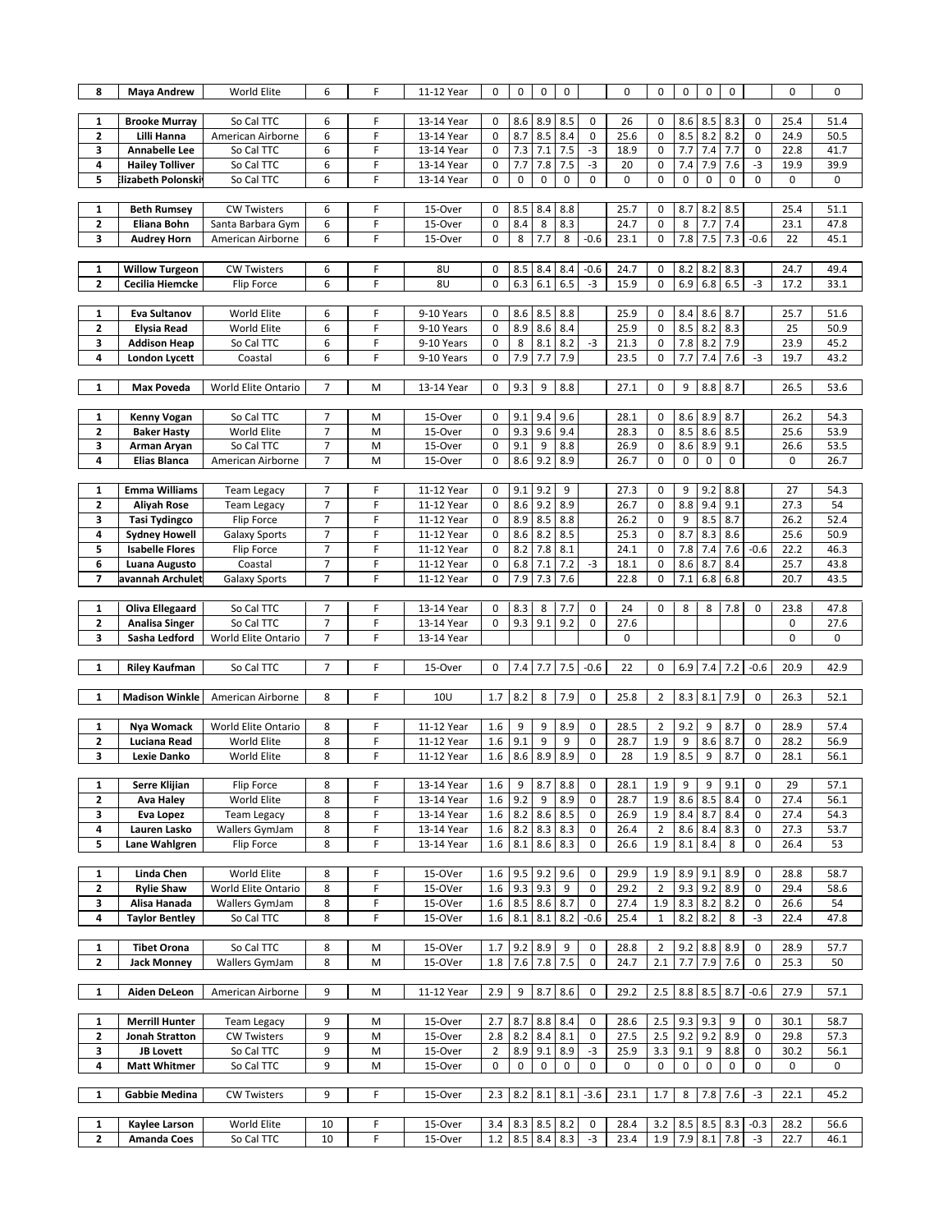| 8                            | <b>Maya Andrew</b>                              | World Elite                              | 6                   | F      | 11-12 Year               | 0                          | $\pmb{0}$      | 0           | $\pmb{0}$          |                   | 0            | $\pmb{0}$        | 0                | $\pmb{0}$      | $\pmb{0}$          |                | 0            | $\pmb{0}$    |
|------------------------------|-------------------------------------------------|------------------------------------------|---------------------|--------|--------------------------|----------------------------|----------------|-------------|--------------------|-------------------|--------------|------------------|------------------|----------------|--------------------|----------------|--------------|--------------|
|                              |                                                 |                                          |                     | F      |                          |                            |                |             |                    |                   |              |                  |                  |                |                    |                |              |              |
| 1<br>2                       | <b>Brooke Murray</b><br>Lilli Hanna             | So Cal TTC<br>American Airborne          | 6<br>6              | F      | 13-14 Year<br>13-14 Year | 0<br>$\mathbf 0$           | 8.6<br>8.7     | 8.9<br>8.5  | 8.5<br>8.4         | 0<br>$\pmb{0}$    | 26<br>25.6   | 0<br>$\mathbf 0$ | 8.6<br>8.5       | 8.5<br>8.2     | 8.3<br>8.2         | 0<br>$\pmb{0}$ | 25.4<br>24.9 | 51.4<br>50.5 |
| 3                            | Annabelle Lee                                   | So Cal TTC                               | 6                   | F      | 13-14 Year               | 0                          | 7.3            | $7.1\,$     | 7.5                | $\textnormal{-3}$ | 18.9         | 0                | 7.7              | 7.4            | 7.7                | $\pmb{0}$      | 22.8         | 41.7         |
| 4                            | <b>Hailey Tolliver</b>                          | So Cal TTC                               | 6                   | F      | 13-14 Year               | $\pmb{0}$                  | 7.7            | 7.8         | 7.5                | $-3$              | 20           | $\pmb{0}$        | 7.4              | 7.9            | 7.6                | $-3$           | 19.9         | 39.9         |
| 5                            | Elizabeth Polonski                              | So Cal TTC                               | 6                   | F      | 13-14 Year               | $\pmb{0}$                  | $\pmb{0}$      | 0           | $\pmb{0}$          | 0                 | 0            | $\pmb{0}$        | 0                | $\pmb{0}$      | 0                  | $\pmb{0}$      | 0            | $\pmb{0}$    |
|                              |                                                 |                                          |                     |        |                          |                            |                |             |                    |                   |              |                  |                  |                |                    |                |              |              |
| $\mathbf{1}$                 | <b>Beth Rumsey</b>                              | <b>CW Twisters</b>                       | 6                   | F      | 15-Over                  | 0                          | 8.5            | 8.4         | 8.8                |                   | 25.7         | 0                | 8.7              | 8.2            | 8.5                |                | 25.4         | 51.1         |
| $\mathbf{z}$                 | Eliana Bohn                                     | Santa Barbara Gym                        | 6                   | F      | 15-Over                  | $\pmb{0}$                  | 8.4            | 8           | 8.3                |                   | 24.7         | $\pmb{0}$        | 8                | 7.7            | 7.4                |                | 23.1         | 47.8         |
| 3                            | <b>Audrey Horn</b>                              | American Airborne                        | 6                   | F      | 15-Over                  | $\mathbf 0$                | 8              | 7.7         | 8                  | $-0.6$            | 23.1         | $\mathbf 0$      | 7.8              | $7.5\,$        | 7.3                | $-0.6$         | 22           | 45.1         |
| 1                            | <b>Willow Turgeon</b>                           | <b>CW Twisters</b>                       | 6                   | F      | 8U                       | 0                          | 8.5            | 8.4         | 8.4                | $-0.6$            | 24.7         | 0                | 8.2              | 8.2            | 8.3                |                | 24.7         | 49.4         |
| $\mathbf{z}$                 | Cecilia Hiemcke                                 | Flip Force                               | 6                   | F      | 8U                       | $\mathbf 0$                | 6.3            | 6.1         | 6.5                | $-3$              | 15.9         | $\mathbf 0$      | 6.9              | 6.8            | 6.5                | $-3$           | 17.2         | 33.1         |
|                              |                                                 |                                          |                     |        |                          |                            |                |             |                    |                   |              |                  |                  |                |                    |                |              |              |
| 1                            | Eva Sultanov                                    | World Elite                              | 6                   | F      | 9-10 Years               | $\mathbf 0$                | 8.6            | 8.5         | 8.8                |                   | 25.9         | 0                | 8.4              | 8.6            | 8.7                |                | 25.7         | 51.6         |
| $\mathbf{2}$                 | <b>Elysia Read</b>                              | World Elite                              | 6                   | F      | 9-10 Years               | $\mathbf 0$                | 8.9            | 8.6         | 8.4                |                   | 25.9         | $\pmb{0}$        | 8.5              | 8.2            | 8.3                |                | 25           | 50.9         |
| 3                            | <b>Addison Heap</b>                             | So Cal TTC                               | 6                   | F      | 9-10 Years               | $\pmb{0}$                  | 8              | 8.1         | 8.2                | $-3$              | 21.3         | $\pmb{0}$        | 7.8              | 8.2            | 7.9                |                | 23.9         | 45.2         |
| 4                            | London Lycett                                   | Coastal                                  | 6                   | F      | 9-10 Years               | $\mathbf 0$                | 7.9            | 7.7         | 7.9                |                   | 23.5         | $\pmb{0}$        | 7.7              | 7.4            | 7.6                | $-3$           | 19.7         | 43.2         |
| $\mathbf{1}$                 | <b>Max Poveda</b>                               | World Elite Ontario                      | 7                   | M      | 13-14 Year               | $\mathbf 0$                | 9.3            | 9           | 8.8                |                   | 27.1         | 0                | 9                | 8.8            | 8.7                |                | 26.5         | 53.6         |
|                              |                                                 |                                          |                     |        |                          |                            |                |             |                    |                   |              |                  |                  |                |                    |                |              |              |
| 1                            | Kenny Vogan                                     | So Cal TTC                               | $\overline{7}$      | M      | 15-Over                  | 0                          | 9.1            | 9.4         | 9.6                |                   | 28.1         | 0                | 8.6              | 8.9            | 8.7                |                | 26.2         | 54.3         |
| $\mathbf{z}$                 | <b>Baker Hasty</b>                              | World Elite                              | $\overline{7}$      | M      | 15-Over                  | $\pmb{0}$                  | 9.3            | 9.6         | 9.4                |                   | 28.3         | $\pmb{0}$        | 8.5              | 8.6            | 8.5                |                | 25.6         | 53.9         |
| 3                            | Arman Aryan                                     | So Cal TTC                               | $\overline{7}$      | M      | 15-Over                  | $\mathbf 0$                | 9.1            | 9           | 8.8                |                   | 26.9         | $\pmb{0}$        | 8.6              | 8.9            | 9.1                |                | 26.6         | 53.5         |
| 4                            | Elias Blanca                                    | American Airborne                        | $\overline{7}$      | M      | 15-Over                  | $\mathbf 0$                | 8.6            | 9.2         | 8.9                |                   | 26.7         | $\mathbf 0$      | $\boldsymbol{0}$ | $\pmb{0}$      | 0                  |                | 0            | 26.7         |
| $\mathbf{1}$                 | <b>Emma Williams</b>                            |                                          | 7                   | F      | 11-12 Year               | $\mathbf 0$                | 9.1            | 9.2         | 9                  |                   | 27.3         | $\mathbf 0$      | 9                | 9.2            | 8.8                |                | 27           | 54.3         |
| $\mathbf{z}$                 | <b>Aliyah Rose</b>                              | <b>Team Legacy</b><br><b>Team Legacy</b> | $\overline{7}$      | F      | 11-12 Year               | $\pmb{0}$                  | 8.6            | 9.2         | 8.9                |                   | 26.7         | $\pmb{0}$        | 8.8              | 9.4            | 9.1                |                | 27.3         | 54           |
| 3                            | <b>Tasi Tydingco</b>                            | Flip Force                               | 7                   | F      | 11-12 Year               | $\mathbf 0$                | 8.9            | 8.5         | 8.8                |                   | 26.2         | $\pmb{0}$        | 9                | 8.5            | 8.7                |                | 26.2         | 52.4         |
| 4                            | <b>Sydney Howell</b>                            | <b>Galaxy Sports</b>                     | $\overline{7}$      | F      | 11-12 Year               | $\pmb{0}$                  | 8.6            | 8.2         | 8.5                |                   | 25.3         | $\pmb{0}$        | 8.7              | 8.3            | 8.6                |                | 25.6         | 50.9         |
| 5                            | <b>Isabelle Flores</b>                          | <b>Flip Force</b>                        | $\overline{7}$      | F      | 11-12 Year               | $\mathbf 0$                | 8.2            | 7.8         | 8.1                |                   | 24.1         | $\pmb{0}$        | 7.8              | 7.4            | 7.6                | $-0.6$         | 22.2         | 46.3         |
| 6                            | Luana Augusto                                   | Coastal                                  | 7                   | F      | 11-12 Year               | $\mathbf 0$                | 6.8            | 7.1         | 7.2                | $-3$              | 18.1         | $\pmb{0}$        | 8.6              | 8.7            | 8.4                |                | 25.7         | 43.8         |
| $\overline{7}$               | avannah Archulet                                | <b>Galaxy Sports</b>                     | $\overline{7}$      | F      | 11-12 Year               | $\mathbf 0$                | 7.9            | 7.3         | 7.6                |                   | 22.8         | $\mathbf 0$      | 7.1              | 6.8            | 6.8                |                | 20.7         | 43.5         |
|                              |                                                 |                                          |                     |        |                          |                            |                |             |                    |                   |              |                  |                  |                |                    |                |              |              |
| $\mathbf{1}$<br>$\mathbf{z}$ | <b>Oliva Ellegaard</b><br><b>Analisa Singer</b> | So Cal TTC<br>So Cal TTC                 | 7<br>$\overline{7}$ | F<br>F | 13-14 Year<br>13-14 Year | $\mathbf 0$<br>$\mathbf 0$ | 8.3<br>9.3     | 8<br>9.1    | 7.7<br>9.2         | $\pmb{0}$<br>0    | 24<br>27.6   | $\mathbf 0$      | 8                | 8              | 7.8                | $\pmb{0}$      | 23.8<br>0    | 47.8<br>27.6 |
| 3                            | Sasha Ledford                                   | World Elite Ontario                      | $\overline{7}$      | F      | 13-14 Year               |                            |                |             |                    |                   | 0            |                  |                  |                |                    |                | 0            | 0            |
|                              |                                                 |                                          |                     |        |                          |                            |                |             |                    |                   |              |                  |                  |                |                    |                |              |              |
| $\mathbf{1}$                 | <b>Riley Kaufman</b>                            | So Cal TTC                               | $\overline{7}$      | F      | 15-Over                  | $\mathbf 0$                | 7.4            | 7.7         | 7.5                | $-0.6$            | 22           | $\mathbf 0$      | 6.9              | 7.4            | 7.2                | $-0.6$         | 20.9         | 42.9         |
|                              |                                                 |                                          |                     |        |                          |                            |                |             |                    |                   |              |                  |                  |                |                    |                |              |              |
| $\mathbf{1}$                 | <b>Madison Winkle</b>                           | American Airborne                        | 8                   | F      | 10U                      | 1.7                        | 8.2            | 8           | 7.9                | 0                 | 25.8         | $\overline{2}$   | 8.3              | 8.1            | 7.9                | $\pmb{0}$      | 26.3         | 52.1         |
| 1                            | Nya Womack                                      | World Elite Ontario                      | 8                   | F      | 11-12 Year               | 1.6                        | 9              | 9           | 8.9                | 0                 | 28.5         | $\overline{2}$   | 9.2              | 9              | 8.7                | $\pmb{0}$      | 28.9         | 57.4         |
| $\mathbf{2}$                 | Luciana Read                                    | World Elite                              | 8                   | F      | 11-12 Year               | 1.6                        | 9.1            | 9           | 9                  | $\pmb{0}$         | 28.7         | 1.9              | 9                | 8.6            | 8.7                | $\pmb{0}$      | 28.2         | 56.9         |
| 3                            | Lexie Danko                                     | World Elite                              | 8                   | F      | 11-12 Year               | 1.6                        | 8.6            | 8.9         | 8.9                | $\pmb{0}$         | 28           | 1.9              | 8.5              | 9              | 8.7                | $\pmb{0}$      | 28.1         | 56.1         |
|                              |                                                 |                                          |                     |        |                          |                            |                |             |                    |                   |              |                  |                  |                |                    |                |              |              |
| $\mathbf 1$                  | Serre Klijian                                   | Flip Force                               | 8                   |        | 13-14 Year               | 1.6                        |                |             | $9$ 8.7 8.8        | $\pmb{0}$         | 28.1         | 1.9              | 9                |                | $9 \overline{9.1}$ | $\pmb{0}$      | 29           | 57.1         |
| 2                            | Ava Haley                                       | World Elite                              | 8                   | F      | 13-14 Year               | 1.6                        | 9.2            | 9           | 8.9                | 0                 | 28.7         | 1.9              |                  |                | 8.6 8.5 8.4        | 0              | 27.4         | 56.1         |
| 3                            | Eva Lopez                                       | <b>Team Legacy</b>                       | 8                   | F      | 13-14 Year               | 1.6                        | 8.2            |             | 8.6 8.5            | 0                 | 26.9         | 1.9              |                  | 8.4 8.7        | 8.4                | 0              | 27.4         | 54.3         |
| 4<br>5                       | Lauren Lasko<br>Lane Wahlgren                   | Wallers GymJam<br>Flip Force             | 8<br>8              | F<br>F | 13-14 Year<br>13-14 Year | 1.6<br>1.6                 | 8.2<br>$8.1\,$ |             | 8.3 8.3<br>8.6 8.3 | 0<br>0            | 26.4<br>26.6 | 2<br>1.9         | 8.1              | 8.6 8.4<br>8.4 | 8.3<br>8           | 0<br>0         | 27.3<br>26.4 | 53.7<br>53   |
|                              |                                                 |                                          |                     |        |                          |                            |                |             |                    |                   |              |                  |                  |                |                    |                |              |              |
| 1                            | Linda Chen                                      | World Elite                              | 8                   | F      | 15-OVer                  | 1.6                        | 9.5            | 9.2         | 9.6                | 0                 | 29.9         | 1.9              | 8.9              | 9.1            | 8.9                | 0              | 28.8         | 58.7         |
| 2                            | <b>Rylie Shaw</b>                               | World Elite Ontario                      | 8                   | F      | 15-OVer                  | 1.6                        | 9.3            | 9.3         | 9                  | 0                 | 29.2         | $\overline{2}$   |                  | $9.3$ 9.2      | 8.9                | 0              | 29.4         | 58.6         |
| 3                            | Alisa Hanada                                    | Wallers GymJam                           | 8                   | F      | 15-OVer                  | $1.6\,$                    | 8.5            |             | 8.6 8.7            | 0                 | 27.4         | 1.9              |                  |                | $8.3$ $8.2$ $8.2$  | 0              | 26.6         | 54           |
| 4                            | <b>Taylor Bentley</b>                           | So Cal TTC                               | 8                   | F      | 15-OVer                  | $1.6\,$                    | 8.1            | 8.1         | 8.2                | $-0.6$            | 25.4         | $\mathbf{1}$     |                  | $8.2$ $8.2$    | 8                  | $-3$           | 22.4         | 47.8         |
| 1                            | <b>Tibet Orona</b>                              | So Cal TTC                               | 8                   | М      | 15-OVer                  | 1.7                        | 9.2            | 8.9         | 9                  | 0                 | 28.8         | 2                | 9.2              | 8.8            | 8.9                | 0              | 28.9         | 57.7         |
| 2                            | <b>Jack Monney</b>                              | Wallers GymJam                           | 8                   | М      | 15-OVer                  | 1.8                        | 7.6            |             | $7.8$ 7.5          | 0                 | 24.7         | 2.1              | 7.7              |                | 7.9 7.6            | 0              | 25.3         | 50           |
|                              |                                                 |                                          |                     |        |                          |                            |                |             |                    |                   |              |                  |                  |                |                    |                |              |              |
| 1                            | Aiden DeLeon                                    | American Airborne                        | 9                   | М      | 11-12 Year               | 2.9                        | 9              |             | 8.7 8.6            | 0                 | 29.2         | 2.5              |                  |                | 8.8 8.5 8.7        | $-0.6$         | 27.9         | 57.1         |
|                              |                                                 |                                          |                     |        |                          |                            |                |             |                    |                   |              |                  |                  |                |                    |                |              |              |
| 1                            | <b>Merrill Hunter</b>                           | <b>Team Legacy</b>                       | 9                   | M      | 15-Over                  | 2.7                        | 8.7            | 8.8         | 8.4                | 0                 | 28.6         | 2.5              |                  | 9.3 9.3        | 9                  | 0              | 30.1         | 58.7         |
| 2<br>3                       | Jonah Stratton<br><b>JB Lovett</b>              | <b>CW Twisters</b><br>So Cal TTC         | 9<br>9              | М<br>M | 15-Over<br>15-Over       | 2.8<br>$\overline{2}$      | 8.2<br>8.9     | 9.1         | 8.4 8.1<br>8.9     | 0<br>$-3$         | 27.5<br>25.9 | 2.5<br>3.3       | 9.2<br>9.1       | 9.2<br>9       | 8.9<br>8.8         | 0<br>0         | 29.8<br>30.2 | 57.3<br>56.1 |
| 4                            | <b>Matt Whitmer</b>                             | So Cal TTC                               | 9                   | M      | 15-Over                  | 0                          | 0              | 0           | 0                  | 0                 | 0            | 0                | 0                | $\pmb{0}$      | 0                  | 0              | 0            | 0            |
|                              |                                                 |                                          |                     |        |                          |                            |                |             |                    |                   |              |                  |                  |                |                    |                |              |              |
| 1                            | Gabbie Medina                                   | <b>CW Twisters</b>                       | 9                   | F      | 15-Over                  | 2.3                        | 8.2            |             | $8.1$ 8.1          | $-3.6$            | 23.1         | 1.7              | 8                |                | 7.8 7.6            | $-3$           | 22.1         | 45.2         |
|                              |                                                 |                                          |                     |        |                          |                            |                |             |                    |                   |              |                  |                  |                |                    |                |              |              |
| 1                            | Kaylee Larson                                   | World Elite                              | 10                  | F      | 15-Over                  | 3.4                        | 8.3            |             | $8.5$ 8.2          | 0                 | 28.4         | 3.2              |                  |                | $8.5$ $8.5$ $8.3$  | $-0.3$         | 28.2         | 56.6         |
| 2                            | <b>Amanda Coes</b>                              | So Cal TTC                               | 10                  | F      | 15-Over                  | 1.2                        |                | 8.5 8.4 8.3 |                    | $-3$              | 23.4         | 1.9              |                  |                | 7.9 8.1 7.8        | $-3$           | 22.7         | 46.1         |